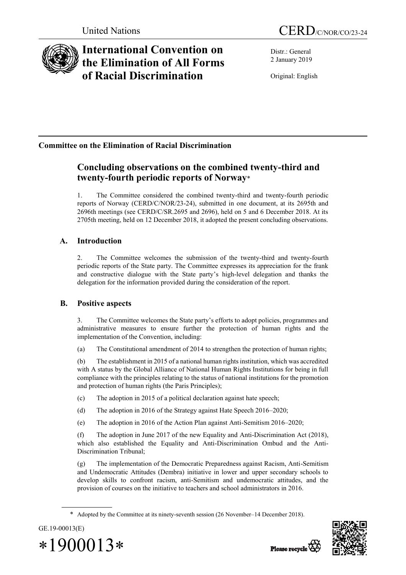

# **International Convention on the Elimination of All Forms of Racial Discrimination**

Distr.: General 2 January 2019

Original: English

## **Committee on the Elimination of Racial Discrimination**

## **Concluding observations on the combined twenty-third and twenty-fourth periodic reports of Norway**\*

1. The Committee considered the combined twenty-third and twenty-fourth periodic reports of Norway (CERD/C/NOR/23-24), submitted in one document, at its 2695th and 2696th meetings (see CERD/C/SR.2695 and 2696), held on 5 and 6 December 2018. At its 2705th meeting, held on 12 December 2018, it adopted the present concluding observations.

## **A. Introduction**

2. The Committee welcomes the submission of the twenty-third and twenty-fourth periodic reports of the State party. The Committee expresses its appreciation for the frank and constructive dialogue with the State party's high-level delegation and thanks the delegation for the information provided during the consideration of the report.

## **B. Positive aspects**

3. The Committee welcomes the State party's efforts to adopt policies, programmes and administrative measures to ensure further the protection of human rights and the implementation of the Convention, including:

(a) The Constitutional amendment of 2014 to strengthen the protection of human rights;

(b) The establishment in 2015 of a national human rights institution, which was accredited with A status by the Global Alliance of National Human Rights Institutions for being in full compliance with the principles relating to the status of national institutions for the promotion and protection of human rights (the Paris Principles);

- (c) The adoption in 2015 of a political declaration against hate speech;
- (d) The adoption in 2016 of the Strategy against Hate Speech 2016–2020;
- (e) The adoption in 2016 of the Action Plan against Anti-Semitism 2016–2020;

(f) The adoption in June 2017 of the new Equality and Anti-Discrimination Act (2018), which also established the Equality and Anti-Discrimination Ombud and the Anti-Discrimination Tribunal;

(g) The implementation of the Democratic Preparedness against Racism, Anti-Semitism and Undemocratic Attitudes (Dembra) initiative in lower and upper secondary schools to develop skills to confront racism, anti-Semitism and undemocratic attitudes, and the provision of courses on the initiative to teachers and school administrators in 2016.

<sup>\*</sup> Adopted by the Committee at its ninety-seventh session (26 November–14 December 2018).



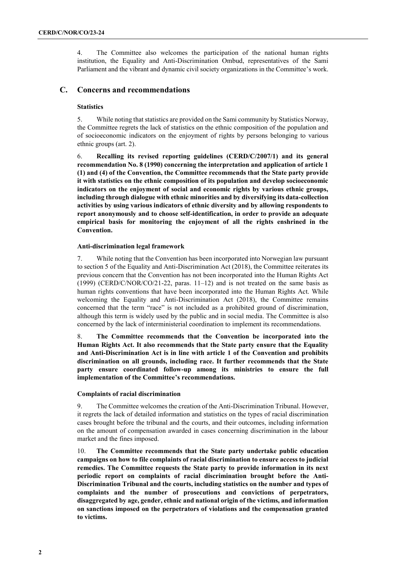4. The Committee also welcomes the participation of the national human rights institution, the Equality and Anti-Discrimination Ombud, representatives of the Sami Parliament and the vibrant and dynamic civil society organizations in the Committee's work.

## **C. Concerns and recommendations**

#### **Statistics**

5. While noting that statistics are provided on the Sami community by Statistics Norway, the Committee regrets the lack of statistics on the ethnic composition of the population and of socioeconomic indicators on the enjoyment of rights by persons belonging to various ethnic groups (art. 2).

6. **Recalling its revised reporting guidelines (CERD/C/2007/1) and its general recommendation No. 8 (1990) concerning the interpretation and application of article 1 (1) and (4) of the Convention, the Committee recommends that the State party provide it with statistics on the ethnic composition of its population and develop socioeconomic indicators on the enjoyment of social and economic rights by various ethnic groups, including through dialogue with ethnic minorities and by diversifying its data-collection activities by using various indicators of ethnic diversity and by allowing respondents to report anonymously and to choose self-identification, in order to provide an adequate empirical basis for monitoring the enjoyment of all the rights enshrined in the Convention.** 

#### **Anti-discrimination legal framework**

7. While noting that the Convention has been incorporated into Norwegian law pursuant to section 5 of the Equality and Anti-Discrimination Act (2018), the Committee reiterates its previous concern that the Convention has not been incorporated into the Human Rights Act  $(1999)$  (CERD/C/NOR/CO/21-22, paras. 11–12) and is not treated on the same basis as human rights conventions that have been incorporated into the Human Rights Act. While welcoming the Equality and Anti-Discrimination Act (2018), the Committee remains concerned that the term "race" is not included as a prohibited ground of discrimination, although this term is widely used by the public and in social media. The Committee is also concerned by the lack of interministerial coordination to implement its recommendations.

8. **The Committee recommends that the Convention be incorporated into the Human Rights Act. It also recommends that the State party ensure that the Equality and Anti-Discrimination Act is in line with article 1 of the Convention and prohibits discrimination on all grounds, including race. It further recommends that the State party ensure coordinated follow-up among its ministries to ensure the full implementation of the Committee's recommendations.** 

#### **Complaints of racial discrimination**

9. The Committee welcomes the creation of the Anti-Discrimination Tribunal. However, it regrets the lack of detailed information and statistics on the types of racial discrimination cases brought before the tribunal and the courts, and their outcomes, including information on the amount of compensation awarded in cases concerning discrimination in the labour market and the fines imposed.

10. **The Committee recommends that the State party undertake public education campaigns on how to file complaints of racial discrimination to ensure access to judicial remedies. The Committee requests the State party to provide information in its next periodic report on complaints of racial discrimination brought before the Anti-Discrimination Tribunal and the courts, including statistics on the number and types of complaints and the number of prosecutions and convictions of perpetrators, disaggregated by age, gender, ethnic and national origin of the victims, and information on sanctions imposed on the perpetrators of violations and the compensation granted to victims.**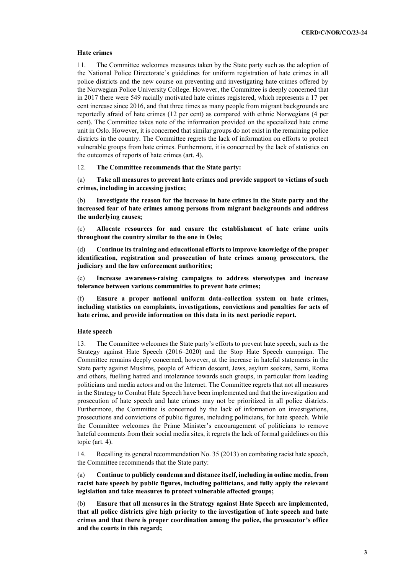#### **Hate crimes**

11. The Committee welcomes measures taken by the State party such as the adoption of the National Police Directorate's guidelines for uniform registration of hate crimes in all police districts and the new course on preventing and investigating hate crimes offered by the Norwegian Police University College. However, the Committee is deeply concerned that in 2017 there were 549 racially motivated hate crimes registered, which represents a 17 per cent increase since 2016, and that three times as many people from migrant backgrounds are reportedly afraid of hate crimes (12 per cent) as compared with ethnic Norwegians (4 per cent). The Committee takes note of the information provided on the specialized hate crime unit in Oslo. However, it is concerned that similar groups do not exist in the remaining police districts in the country. The Committee regrets the lack of information on efforts to protect vulnerable groups from hate crimes. Furthermore, it is concerned by the lack of statistics on the outcomes of reports of hate crimes (art. 4).

12. **The Committee recommends that the State party:**

(a) **Take all measures to prevent hate crimes and provide support to victims of such crimes, including in accessing justice;**

(b) **Investigate the reason for the increase in hate crimes in the State party and the increased fear of hate crimes among persons from migrant backgrounds and address the underlying causes;**

(c) **Allocate resources for and ensure the establishment of hate crime units throughout the country similar to the one in Oslo;** 

(d) **Continue its training and educational efforts to improve knowledge of the proper identification, registration and prosecution of hate crimes among prosecutors, the judiciary and the law enforcement authorities;**

(e) **Increase awareness-raising campaigns to address stereotypes and increase tolerance between various communities to prevent hate crimes;**

(f) **Ensure a proper national uniform data-collection system on hate crimes, including statistics on complaints, investigations, convictions and penalties for acts of hate crime, and provide information on this data in its next periodic report.** 

#### **Hate speech**

13. The Committee welcomes the State party's efforts to prevent hate speech, such as the Strategy against Hate Speech (2016–2020) and the Stop Hate Speech campaign. The Committee remains deeply concerned, however, at the increase in hateful statements in the State party against Muslims, people of African descent, Jews, asylum seekers, Sami, Roma and others, fuelling hatred and intolerance towards such groups, in particular from leading politicians and media actors and on the Internet. The Committee regrets that not all measures in the Strategy to Combat Hate Speech have been implemented and that the investigation and prosecution of hate speech and hate crimes may not be prioritized in all police districts. Furthermore, the Committee is concerned by the lack of information on investigations, prosecutions and convictions of public figures, including politicians, for hate speech. While the Committee welcomes the Prime Minister's encouragement of politicians to remove hateful comments from their social media sites, it regrets the lack of formal guidelines on this topic (art. 4).

14. Recalling its general recommendation No. 35 (2013) on combating racist hate speech, the Committee recommends that the State party:

(a) **Continue to publicly condemn and distance itself, including in online media, from racist hate speech by public figures, including politicians, and fully apply the relevant legislation and take measures to protect vulnerable affected groups;**

(b) **Ensure that all measures in the Strategy against Hate Speech are implemented, that all police districts give high priority to the investigation of hate speech and hate crimes and that there is proper coordination among the police, the prosecutor's office and the courts in this regard;**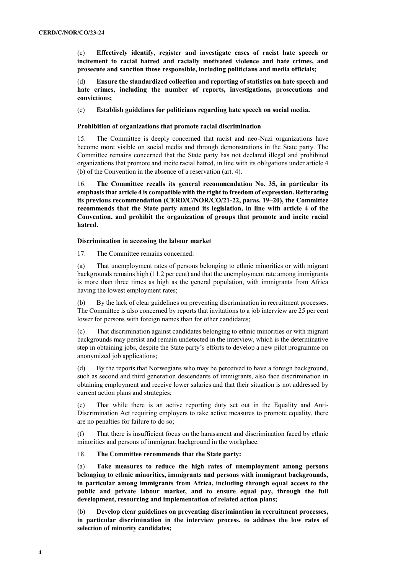(c) **Effectively identify, register and investigate cases of racist hate speech or incitement to racial hatred and racially motivated violence and hate crimes, and prosecute and sanction those responsible, including politicians and media officials;**

(d) **Ensure the standardized collection and reporting of statistics on hate speech and hate crimes, including the number of reports, investigations, prosecutions and convictions;**

(e) **Establish guidelines for politicians regarding hate speech on social media.**

## **Prohibition of organizations that promote racial discrimination**

15. The Committee is deeply concerned that racist and neo-Nazi organizations have become more visible on social media and through demonstrations in the State party. The Committee remains concerned that the State party has not declared illegal and prohibited organizations that promote and incite racial hatred, in line with its obligations under article 4 (b) of the Convention in the absence of a reservation (art. 4).

16. **The Committee recalls its general recommendation No. 35, in particular its emphasis that article 4 is compatible with the right to freedom of expression. Reiterating its previous recommendation (CERD/C/NOR/CO/21-22, paras. 19–20), the Committee recommends that the State party amend its legislation, in line with article 4 of the Convention, and prohibit the organization of groups that promote and incite racial hatred.** 

#### **Discrimination in accessing the labour market**

17. The Committee remains concerned:

(a) That unemployment rates of persons belonging to ethnic minorities or with migrant backgrounds remains high (11.2 per cent) and that the unemployment rate among immigrants is more than three times as high as the general population, with immigrants from Africa having the lowest employment rates;

(b) By the lack of clear guidelines on preventing discrimination in recruitment processes. The Committee is also concerned by reports that invitations to a job interview are 25 per cent lower for persons with foreign names than for other candidates;

(c) That discrimination against candidates belonging to ethnic minorities or with migrant backgrounds may persist and remain undetected in the interview, which is the determinative step in obtaining jobs, despite the State party's efforts to develop a new pilot programme on anonymized job applications;

(d) By the reports that Norwegians who may be perceived to have a foreign background, such as second and third generation descendants of immigrants, also face discrimination in obtaining employment and receive lower salaries and that their situation is not addressed by current action plans and strategies;

(e) That while there is an active reporting duty set out in the Equality and Anti-Discrimination Act requiring employers to take active measures to promote equality, there are no penalties for failure to do so;

(f) That there is insufficient focus on the harassment and discrimination faced by ethnic minorities and persons of immigrant background in the workplace.

### 18. **The Committee recommends that the State party:**

(a) **Take measures to reduce the high rates of unemployment among persons belonging to ethnic minorities, immigrants and persons with immigrant backgrounds, in particular among immigrants from Africa, including through equal access to the public and private labour market, and to ensure equal pay, through the full development, resourcing and implementation of related action plans;** 

(b) **Develop clear guidelines on preventing discrimination in recruitment processes, in particular discrimination in the interview process, to address the low rates of selection of minority candidates;**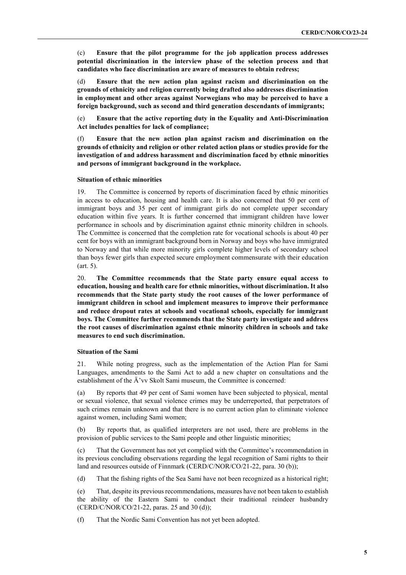(c) **Ensure that the pilot programme for the job application process addresses potential discrimination in the interview phase of the selection process and that candidates who face discrimination are aware of measures to obtain redress;**

(d) **Ensure that the new action plan against racism and discrimination on the grounds of ethnicity and religion currently being drafted also addresses discrimination in employment and other areas against Norwegians who may be perceived to have a foreign background, such as second and third generation descendants of immigrants;**

(e) **Ensure that the active reporting duty in the Equality and Anti-Discrimination Act includes penalties for lack of compliance;**

(f) **Ensure that the new action plan against racism and discrimination on the grounds of ethnicity and religion or other related action plans or studies provide for the investigation of and address harassment and discrimination faced by ethnic minorities and persons of immigrant background in the workplace.** 

#### **Situation of ethnic minorities**

19. The Committee is concerned by reports of discrimination faced by ethnic minorities in access to education, housing and health care. It is also concerned that 50 per cent of immigrant boys and 35 per cent of immigrant girls do not complete upper secondary education within five years. It is further concerned that immigrant children have lower performance in schools and by discrimination against ethnic minority children in schools. The Committee is concerned that the completion rate for vocational schools is about 40 per cent for boys with an immigrant background born in Norway and boys who have immigrated to Norway and that while more minority girls complete higher levels of secondary school than boys fewer girls than expected secure employment commensurate with their education (art. 5).

20. **The Committee recommends that the State party ensure equal access to education, housing and health care for ethnic minorities, without discrimination. It also recommends that the State party study the root causes of the lower performance of immigrant children in school and implement measures to improve their performance and reduce dropout rates at schools and vocational schools, especially for immigrant boys. The Committee further recommends that the State party investigate and address the root causes of discrimination against ethnic minority children in schools and take measures to end such discrimination.** 

#### **Situation of the Sami**

21. While noting progress, such as the implementation of the Action Plan for Sami Languages, amendments to the Sami Act to add a new chapter on consultations and the establishment of the Ä'vv Skolt Sami museum, the Committee is concerned:

(a) By reports that 49 per cent of Sami women have been subjected to physical, mental or sexual violence, that sexual violence crimes may be underreported, that perpetrators of such crimes remain unknown and that there is no current action plan to eliminate violence against women, including Sami women;

(b) By reports that, as qualified interpreters are not used, there are problems in the provision of public services to the Sami people and other linguistic minorities;

(c) That the Government has not yet complied with the Committee's recommendation in its previous concluding observations regarding the legal recognition of Sami rights to their land and resources outside of Finnmark (CERD/C/NOR/CO/21-22, para. 30 (b));

(d) That the fishing rights of the Sea Sami have not been recognized as a historical right;

(e) That, despite its previous recommendations, measures have not been taken to establish the ability of the Eastern Sami to conduct their traditional reindeer husbandry (CERD/C/NOR/CO/21-22, paras. 25 and 30 (d));

(f) That the Nordic Sami Convention has not yet been adopted.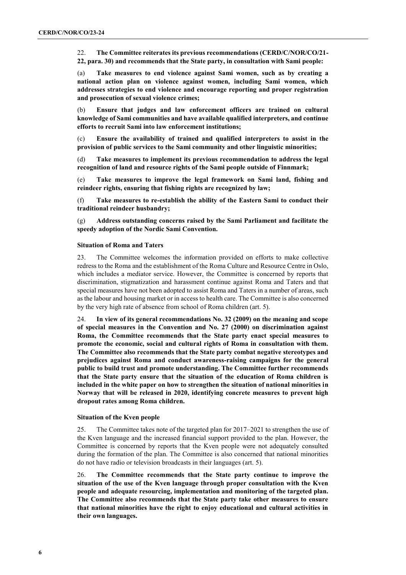22. **The Committee reiterates its previous recommendations (CERD/C/NOR/CO/21- 22, para. 30) and recommends that the State party, in consultation with Sami people:**

(a) **Take measures to end violence against Sami women, such as by creating a national action plan on violence against women, including Sami women, which addresses strategies to end violence and encourage reporting and proper registration and prosecution of sexual violence crimes;**

(b) **Ensure that judges and law enforcement officers are trained on cultural knowledge of Sami communities and have available qualified interpreters, and continue efforts to recruit Sami into law enforcement institutions;**

(c) **Ensure the availability of trained and qualified interpreters to assist in the provision of public services to the Sami community and other linguistic minorities;** 

(d) **Take measures to implement its previous recommendation to address the legal recognition of land and resource rights of the Sami people outside of Finnmark;**

(e) **Take measures to improve the legal framework on Sami land, fishing and reindeer rights, ensuring that fishing rights are recognized by law;** 

(f) **Take measures to re-establish the ability of the Eastern Sami to conduct their traditional reindeer husbandry;**

(g) **Address outstanding concerns raised by the Sami Parliament and facilitate the speedy adoption of the Nordic Sami Convention.**

#### **Situation of Roma and Taters**

23. The Committee welcomes the information provided on efforts to make collective redress to the Roma and the establishment of the Roma Culture and Resource Centre in Oslo, which includes a mediator service. However, the Committee is concerned by reports that discrimination, stigmatization and harassment continue against Roma and Taters and that special measures have not been adopted to assist Roma and Taters in a number of areas, such as the labour and housing market or in access to health care. The Committee is also concerned by the very high rate of absence from school of Roma children (art. 5).

24. **In view of its general recommendations No. 32 (2009) on the meaning and scope of special measures in the Convention and No. 27 (2000) on discrimination against Roma, the Committee recommends that the State party enact special measures to promote the economic, social and cultural rights of Roma in consultation with them. The Committee also recommends that the State party combat negative stereotypes and prejudices against Roma and conduct awareness-raising campaigns for the general public to build trust and promote understanding. The Committee further recommends that the State party ensure that the situation of the education of Roma children is included in the white paper on how to strengthen the situation of national minorities in Norway that will be released in 2020, identifying concrete measures to prevent high dropout rates among Roma children.** 

### **Situation of the Kven people**

25. The Committee takes note of the targeted plan for 2017–2021 to strengthen the use of the Kven language and the increased financial support provided to the plan. However, the Committee is concerned by reports that the Kven people were not adequately consulted during the formation of the plan. The Committee is also concerned that national minorities do not have radio or television broadcasts in their languages (art. 5).

26. **The Committee recommends that the State party continue to improve the situation of the use of the Kven language through proper consultation with the Kven people and adequate resourcing, implementation and monitoring of the targeted plan. The Committee also recommends that the State party take other measures to ensure that national minorities have the right to enjoy educational and cultural activities in their own languages.**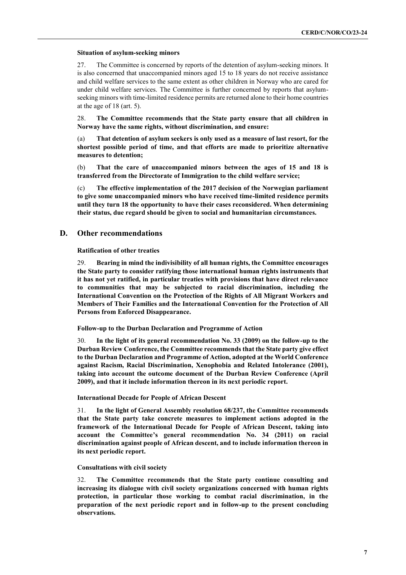#### **Situation of asylum-seeking minors**

27. The Committee is concerned by reports of the detention of asylum-seeking minors. It is also concerned that unaccompanied minors aged 15 to 18 years do not receive assistance and child welfare services to the same extent as other children in Norway who are cared for under child welfare services. The Committee is further concerned by reports that asylumseeking minors with time-limited residence permits are returned alone to their home countries at the age of 18 (art. 5).

28. **The Committee recommends that the State party ensure that all children in Norway have the same rights, without discrimination, and ensure:**

(a) **That detention of asylum seekers is only used as a measure of last resort, for the shortest possible period of time, and that efforts are made to prioritize alternative measures to detention;**

(b) **That the care of unaccompanied minors between the ages of 15 and 18 is transferred from the Directorate of Immigration to the child welfare service;**

(c) **The effective implementation of the 2017 decision of the Norwegian parliament to give some unaccompanied minors who have received time-limited residence permits until they turn 18 the opportunity to have their cases reconsidered. When determining their status, due regard should be given to social and humanitarian circumstances.** 

## **D. Other recommendations**

**Ratification of other treaties**

29. **Bearing in mind the indivisibility of all human rights, the Committee encourages the State party to consider ratifying those international human rights instruments that it has not yet ratified, in particular treaties with provisions that have direct relevance to communities that may be subjected to racial discrimination, including the International Convention on the Protection of the Rights of All Migrant Workers and Members of Their Families and the International Convention for the Protection of All Persons from Enforced Disappearance.**

**Follow-up to the Durban Declaration and Programme of Action**

30. **In the light of its general recommendation No. 33 (2009) on the follow-up to the Durban Review Conference, the Committee recommends that the State party give effect to the Durban Declaration and Programme of Action, adopted at the World Conference against Racism, Racial Discrimination, Xenophobia and Related Intolerance (2001), taking into account the outcome document of the Durban Review Conference (April 2009), and that it include information thereon in its next periodic report.** 

#### **International Decade for People of African Descent**

31. **In the light of General Assembly resolution 68/237, the Committee recommends that the State party take concrete measures to implement actions adopted in the framework of the International Decade for People of African Descent, taking into account the Committee's general recommendation No. 34 (2011) on racial discrimination against people of African descent, and to include information thereon in its next periodic report.** 

#### **Consultations with civil society**

32. **The Committee recommends that the State party continue consulting and increasing its dialogue with civil society organizations concerned with human rights protection, in particular those working to combat racial discrimination, in the preparation of the next periodic report and in follow-up to the present concluding observations.**